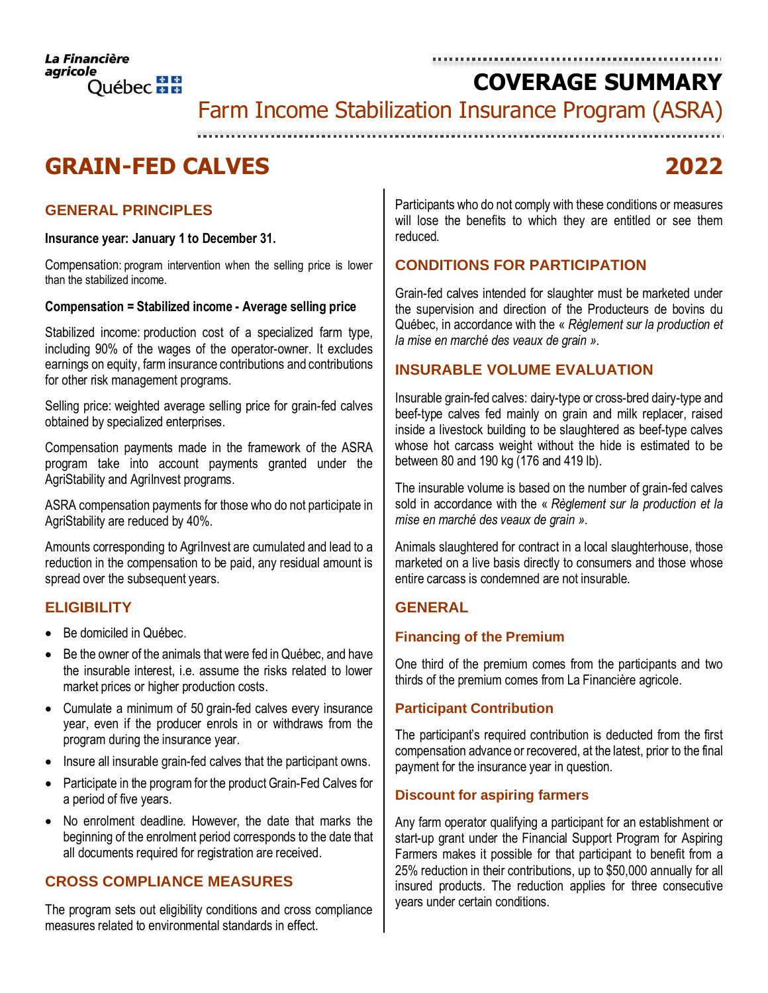# **COVERAGE SUMMARY**

Farm Income Stabilization Insurance Program (ASRA)

# **GRAIN-FED CALVES 2022**

# **GENERAL PRINCIPLES**

#### **Insurance year: January 1 to December 31.**

Compensation: program intervention when the selling price is lower than the stabilized income.

#### **Compensation = Stabilized income - Average selling price**

Stabilized income: production cost of a specialized farm type, including 90% of the wages of the operator-owner. It excludes earnings on equity, farm insurance contributions and contributions for other risk management programs.

Selling price: weighted average selling price for grain-fed calves obtained by specialized enterprises.

Compensation payments made in the framework of the ASRA program take into account payments granted under the AgriStability and Agrilnvest programs.

ASRA compensation payments for those who do not participate in AgriStability are reduced by 40%.

Amounts corresponding to Agrilnvest are cumulated and lead to a reduction in the compensation to be paid, any residual amount is spread over the subsequent years.

## **ELIGIBILITY**

- Be domiciled in Québec.
- Be the owner of the animals that were fed in Québec, and have the insurable interest, i.e. assume the risks related to lower market prices or higher production costs.
- Cumulate a minimum of 50 grain-fed calves every insurance year, even if the producer enrols in or withdraws from the program during the insurance year.
- Insure all insurable grain-fed calves that the participant owns.
- Participate in the program for the product Grain-Fed Calves for a period of five years.
- No enrolment deadline. However, the date that marks the beginning of the enrolment period corresponds to the date that all documents required for registration are received.

## **CROSS COMPLIANCE MEASURES**

The program sets out eligibility conditions and cross compliance measures related to environmental standards in effect.

Participants who do not comply with these conditions or measures will lose the benefits to which they are entitled or see them reduced.

# **CONDITIONS FOR PARTICIPATION**

Grain-fed calves intended for slaughter must be marketed under the supervision and direction of the Producteurs de bovins du Québec, in accordance with the « *Règlement sur la production et la mise en marché des veaux de grain »*.

## **INSURABLE VOLUME EVALUATION**

Insurable grain-fed calves: dairy-type or cross-bred dairy-type and beef-type calves fed mainly on grain and milk replacer, raised inside a livestock building to be slaughtered as beef-type calves whose hot carcass weight without the hide is estimated to be between 80 and 190 kg (176 and 419 lb).

The insurable volume is based on the number of grain-fed calves sold in accordance with the « *Règlement sur la production et la mise en marché des veaux de grain »*.

Animals slaughtered for contract in a local slaughterhouse, those marketed on a live basis directly to consumers and those whose entire carcass is condemned are not insurable.

# **GENERAL**

## **Financing of the Premium**

One third of the premium comes from the participants and two thirds of the premium comes from La Financière agricole.

#### **Participant Contribution**

The participant's required contribution is deducted from the first compensation advance or recovered, at the latest, prior to the final payment for the insurance year in question.

#### **Discount for aspiring farmers**

Any farm operator qualifying a participant for an establishment or start-up grant under the Financial Support Program for Aspiring Farmers makes it possible for that participant to benefit from a 25% reduction in their contributions, up to \$50,000 annually for all insured products. The reduction applies for three consecutive years under certain conditions.